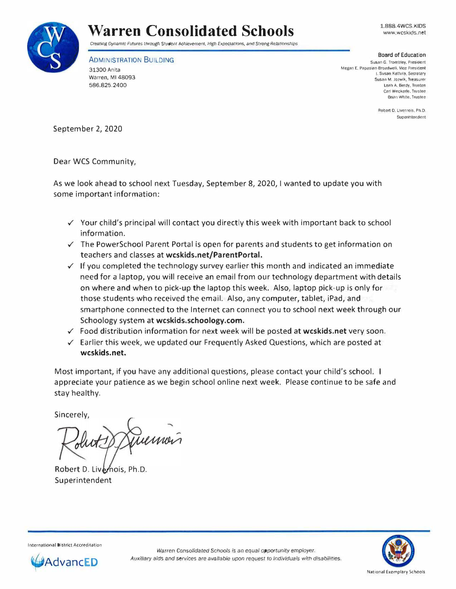

www.wcskids.net



Creating Dynamic Futures through Student Achievement. High Expectations, and Strong Relationships

ADMINISTRATION BUILDING 31300 Anita Warren, Ml 48093 586.825.2400

Board of Education Susan G. Trombley, Presidenl Megan E. Papasian-Broadwell. Vice President I. Susan Kattula, Secretary Susan M. Jozwik, Treasurer Leah A. Berdy. Trustee Carl Weckerle. Trustee Brian White. Trustee

> Robert D. Livernois, Ph.D. Superintendent

September 2, 2020

Dear WCS Community,

As we look ahead to school next Tuesday, September 8, 2020, I wanted to update you with some important information:

- $\checkmark$  Your child's principal will contact you directly this week with important back to school information.
- $\checkmark$  The PowerSchool Parent Portal is open for parents and students to get information on teachers and classes at **wcskids.net/ParentPortal.**
- $\checkmark$  If you completed the technology survey earlier this month and indicated an immediate need for a laptop, you will receive an email from our technology department with details on where and when to pick-up the laptop this week. Also, laptop pick-up is only for those students who received the email. Also, any computer, tablet, iPad, and smartphone connected to the Internet can connect you to school next week through our Schoology system at **wcskids.schoology.com.**
- ✓ Food distribution information for next week will be posted at **wcskids.net** very soon.
- $\checkmark$  Earlier this week, we updated our Frequently Asked Questions, which are posted at **wcskids.net.**

Most important, if you have any additional questions, please contact your child's school. I appreciate your patience as we begin school online next week. Please continue to be safe and stay healthy.

Sincerely,

Tuernois

Robert D. Livernois, Ph.D. Superintendent



International District Accreditation